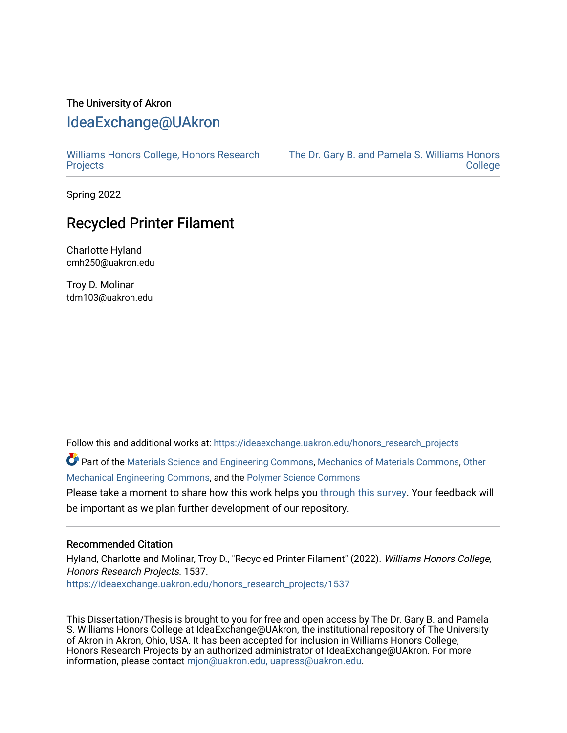# The University of Akron [IdeaExchange@UAkron](https://ideaexchange.uakron.edu/)

[Williams Honors College, Honors Research](https://ideaexchange.uakron.edu/honors_research_projects)  **[Projects](https://ideaexchange.uakron.edu/honors_research_projects)** 

[The Dr. Gary B. and Pamela S. Williams Honors](https://ideaexchange.uakron.edu/honorscollege_ideas)  **College** 

Spring 2022

# Recycled Printer Filament

Charlotte Hyland cmh250@uakron.edu

Troy D. Molinar tdm103@uakron.edu

Follow this and additional works at: [https://ideaexchange.uakron.edu/honors\\_research\\_projects](https://ideaexchange.uakron.edu/honors_research_projects?utm_source=ideaexchange.uakron.edu%2Fhonors_research_projects%2F1537&utm_medium=PDF&utm_campaign=PDFCoverPages) 

Part of the [Materials Science and Engineering Commons,](http://network.bepress.com/hgg/discipline/285?utm_source=ideaexchange.uakron.edu%2Fhonors_research_projects%2F1537&utm_medium=PDF&utm_campaign=PDFCoverPages) [Mechanics of Materials Commons,](http://network.bepress.com/hgg/discipline/283?utm_source=ideaexchange.uakron.edu%2Fhonors_research_projects%2F1537&utm_medium=PDF&utm_campaign=PDFCoverPages) [Other](http://network.bepress.com/hgg/discipline/304?utm_source=ideaexchange.uakron.edu%2Fhonors_research_projects%2F1537&utm_medium=PDF&utm_campaign=PDFCoverPages)  [Mechanical Engineering Commons,](http://network.bepress.com/hgg/discipline/304?utm_source=ideaexchange.uakron.edu%2Fhonors_research_projects%2F1537&utm_medium=PDF&utm_campaign=PDFCoverPages) and the [Polymer Science Commons](http://network.bepress.com/hgg/discipline/246?utm_source=ideaexchange.uakron.edu%2Fhonors_research_projects%2F1537&utm_medium=PDF&utm_campaign=PDFCoverPages)

Please take a moment to share how this work helps you [through this survey](http://survey.az1.qualtrics.com/SE/?SID=SV_eEVH54oiCbOw05f&URL=https://ideaexchange.uakron.edu/honors_research_projects/1537). Your feedback will be important as we plan further development of our repository.

#### Recommended Citation

Hyland, Charlotte and Molinar, Troy D., "Recycled Printer Filament" (2022). Williams Honors College, Honors Research Projects. 1537.

[https://ideaexchange.uakron.edu/honors\\_research\\_projects/1537](https://ideaexchange.uakron.edu/honors_research_projects/1537?utm_source=ideaexchange.uakron.edu%2Fhonors_research_projects%2F1537&utm_medium=PDF&utm_campaign=PDFCoverPages) 

This Dissertation/Thesis is brought to you for free and open access by The Dr. Gary B. and Pamela S. Williams Honors College at IdeaExchange@UAkron, the institutional repository of The University of Akron in Akron, Ohio, USA. It has been accepted for inclusion in Williams Honors College, Honors Research Projects by an authorized administrator of IdeaExchange@UAkron. For more information, please contact [mjon@uakron.edu, uapress@uakron.edu.](mailto:mjon@uakron.edu,%20uapress@uakron.edu)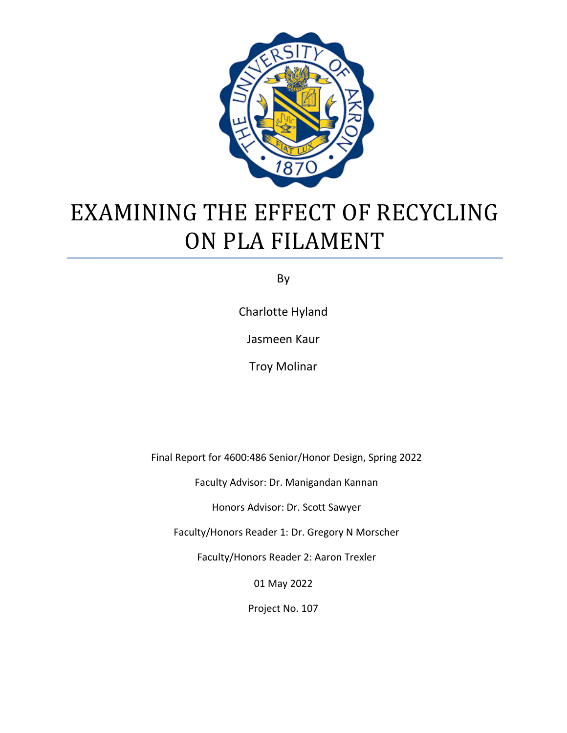

# EXAMINING THE EFFECT OF RECYCLING ON PLA FILAMENT

By

Charlotte Hyland

Jasmeen Kaur

Troy Molinar

Final Report for 4600:486 Senior/Honor Design, Spring 2022

Faculty Advisor: Dr. Manigandan Kannan

Honors Advisor: Dr. Scott Sawyer

Faculty/Honors Reader 1: Dr. Gregory N Morscher

Faculty/Honors Reader 2: Aaron Trexler

01 May 2022

Project No. 107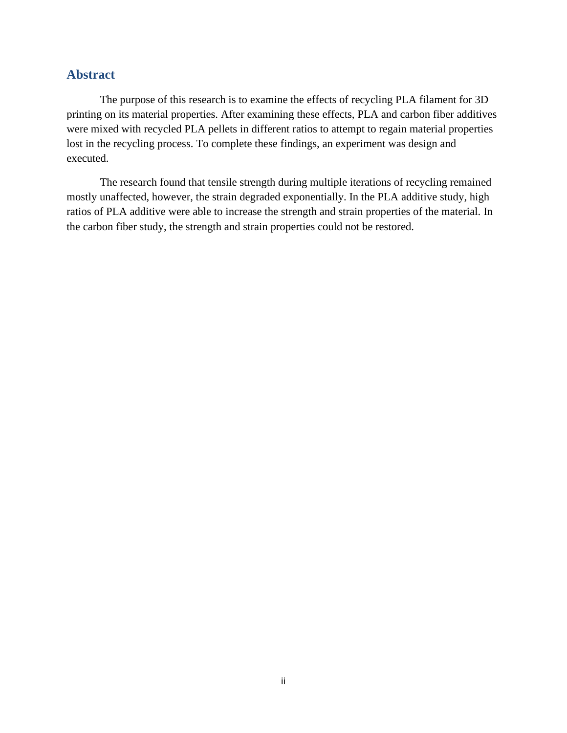## **Abstract**

The purpose of this research is to examine the effects of recycling PLA filament for 3D printing on its material properties. After examining these effects, PLA and carbon fiber additives were mixed with recycled PLA pellets in different ratios to attempt to regain material properties lost in the recycling process. To complete these findings, an experiment was design and executed.

The research found that tensile strength during multiple iterations of recycling remained mostly unaffected, however, the strain degraded exponentially. In the PLA additive study, high ratios of PLA additive were able to increase the strength and strain properties of the material. In the carbon fiber study, the strength and strain properties could not be restored.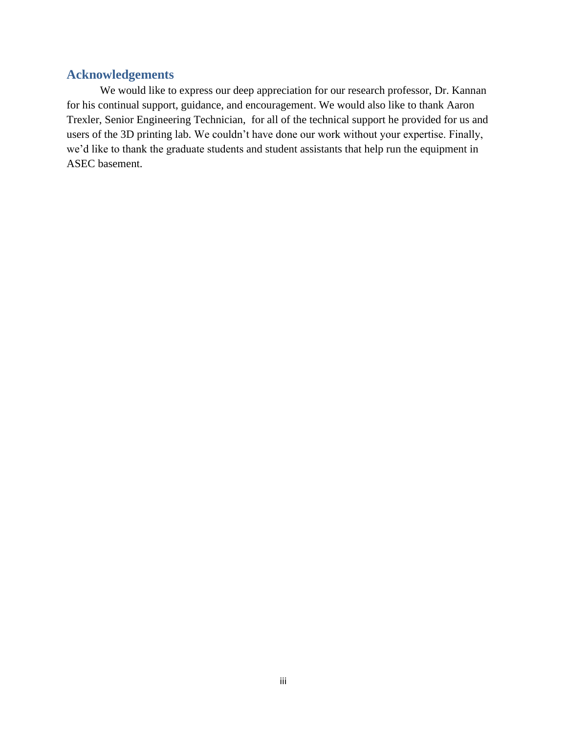# **Acknowledgements**

We would like to express our deep appreciation for our research professor, Dr. Kannan for his continual support, guidance, and encouragement. We would also like to thank Aaron Trexler, Senior Engineering Technician, for all of the technical support he provided for us and users of the 3D printing lab. We couldn't have done our work without your expertise. Finally, we'd like to thank the graduate students and student assistants that help run the equipment in ASEC basement.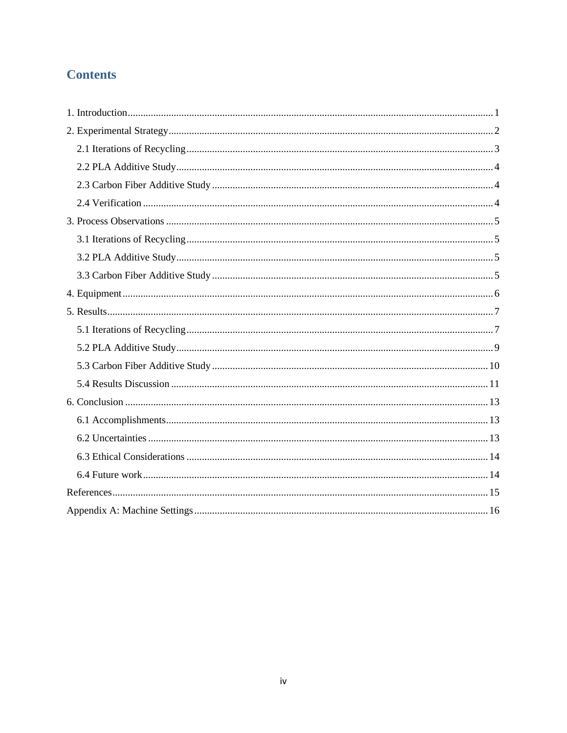# **Contents**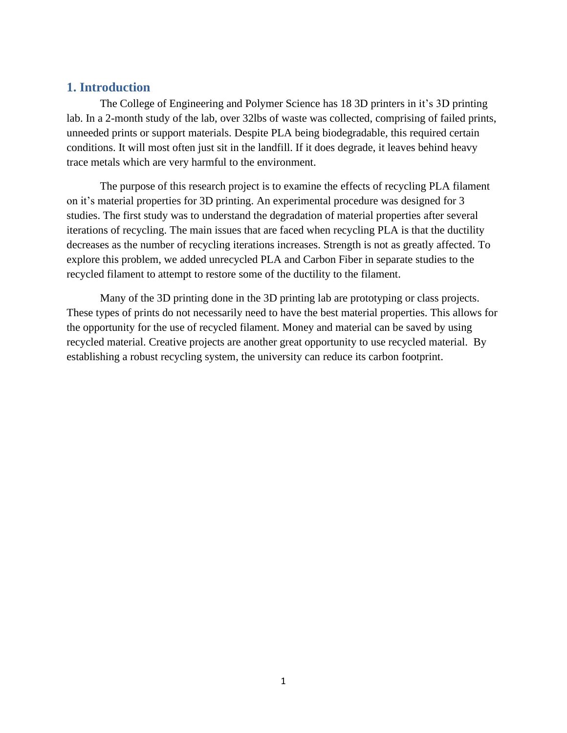## <span id="page-5-0"></span>**1. Introduction**

The College of Engineering and Polymer Science has 18 3D printers in it's 3D printing lab. In a 2-month study of the lab, over 32lbs of waste was collected, comprising of failed prints, unneeded prints or support materials. Despite PLA being biodegradable, this required certain conditions. It will most often just sit in the landfill. If it does degrade, it leaves behind heavy trace metals which are very harmful to the environment.

The purpose of this research project is to examine the effects of recycling PLA filament on it's material properties for 3D printing. An experimental procedure was designed for 3 studies. The first study was to understand the degradation of material properties after several iterations of recycling. The main issues that are faced when recycling PLA is that the ductility decreases as the number of recycling iterations increases. Strength is not as greatly affected. To explore this problem, we added unrecycled PLA and Carbon Fiber in separate studies to the recycled filament to attempt to restore some of the ductility to the filament.

Many of the 3D printing done in the 3D printing lab are prototyping or class projects. These types of prints do not necessarily need to have the best material properties. This allows for the opportunity for the use of recycled filament. Money and material can be saved by using recycled material. Creative projects are another great opportunity to use recycled material. By establishing a robust recycling system, the university can reduce its carbon footprint.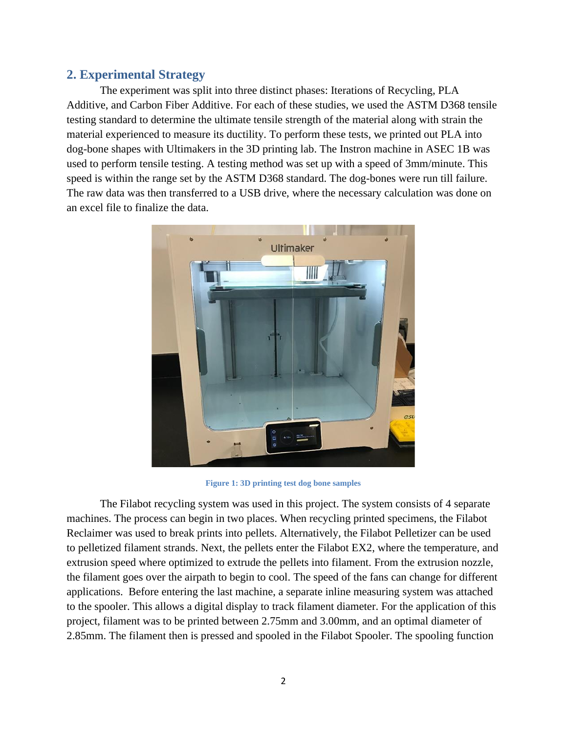## <span id="page-6-0"></span>**2. Experimental Strategy**

The experiment was split into three distinct phases: Iterations of Recycling, PLA Additive, and Carbon Fiber Additive. For each of these studies, we used the ASTM D368 tensile testing standard to determine the ultimate tensile strength of the material along with strain the material experienced to measure its ductility. To perform these tests, we printed out PLA into dog-bone shapes with Ultimakers in the 3D printing lab. The Instron machine in ASEC 1B was used to perform tensile testing. A testing method was set up with a speed of 3mm/minute. This speed is within the range set by the ASTM D368 standard. The dog-bones were run till failure. The raw data was then transferred to a USB drive, where the necessary calculation was done on an excel file to finalize the data.



**Figure 1: 3D printing test dog bone samples** 

The Filabot recycling system was used in this project. The system consists of 4 separate machines. The process can begin in two places. When recycling printed specimens, the Filabot Reclaimer was used to break prints into pellets. Alternatively, the Filabot Pelletizer can be used to pelletized filament strands. Next, the pellets enter the Filabot EX2, where the temperature, and extrusion speed where optimized to extrude the pellets into filament. From the extrusion nozzle, the filament goes over the airpath to begin to cool. The speed of the fans can change for different applications. Before entering the last machine, a separate inline measuring system was attached to the spooler. This allows a digital display to track filament diameter. For the application of this project, filament was to be printed between 2.75mm and 3.00mm, and an optimal diameter of 2.85mm. The filament then is pressed and spooled in the Filabot Spooler. The spooling function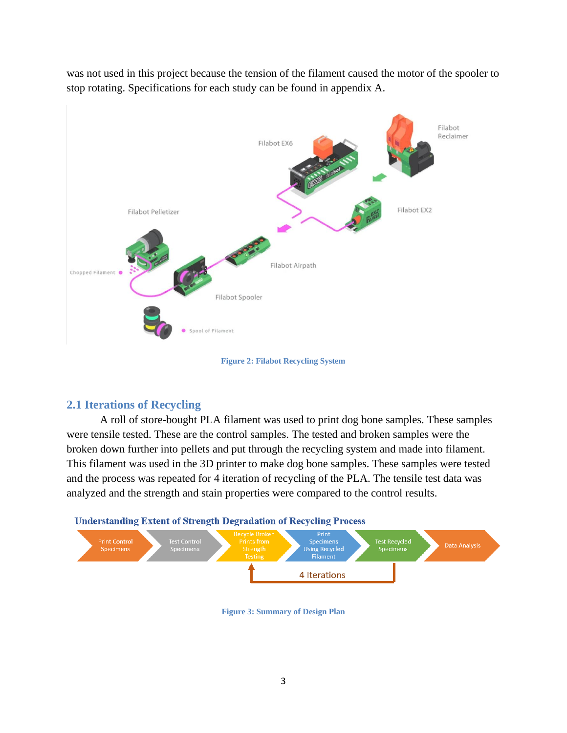was not used in this project because the tension of the filament caused the motor of the spooler to stop rotating. Specifications for each study can be found in appendix A.



**Figure 2: Filabot Recycling System**

# <span id="page-7-0"></span>**2.1 Iterations of Recycling**

A roll of store-bought PLA filament was used to print dog bone samples. These samples were tensile tested. These are the control samples. The tested and broken samples were the broken down further into pellets and put through the recycling system and made into filament. This filament was used in the 3D printer to make dog bone samples. These samples were tested and the process was repeated for 4 iteration of recycling of the PLA. The tensile test data was analyzed and the strength and stain properties were compared to the control results.





**Figure 3: Summary of Design Plan**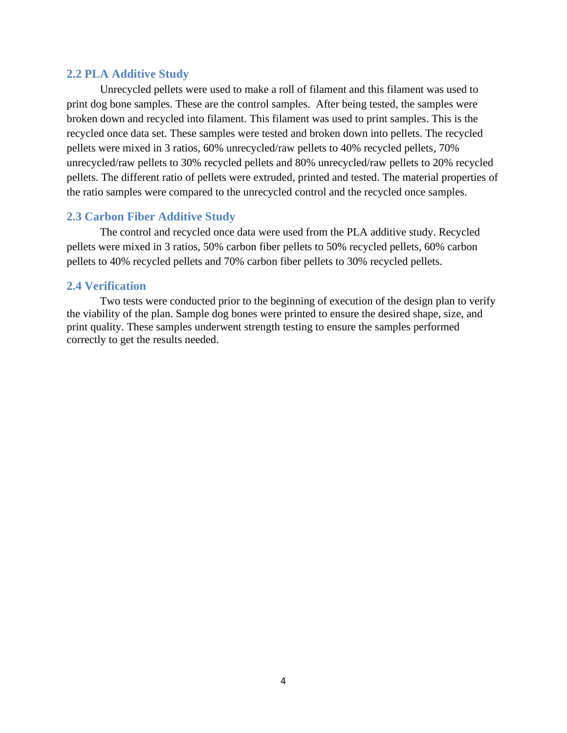#### <span id="page-8-0"></span>**2.2 PLA Additive Study**

Unrecycled pellets were used to make a roll of filament and this filament was used to print dog bone samples. These are the control samples. After being tested, the samples were broken down and recycled into filament. This filament was used to print samples. This is the recycled once data set. These samples were tested and broken down into pellets. The recycled pellets were mixed in 3 ratios, 60% unrecycled/raw pellets to 40% recycled pellets, 70% unrecycled/raw pellets to 30% recycled pellets and 80% unrecycled/raw pellets to 20% recycled pellets. The different ratio of pellets were extruded, printed and tested. The material properties of the ratio samples were compared to the unrecycled control and the recycled once samples.

#### <span id="page-8-1"></span>**2.3 Carbon Fiber Additive Study**

The control and recycled once data were used from the PLA additive study. Recycled pellets were mixed in 3 ratios, 50% carbon fiber pellets to 50% recycled pellets, 60% carbon pellets to 40% recycled pellets and 70% carbon fiber pellets to 30% recycled pellets.

#### <span id="page-8-2"></span>**2.4 Verification**

Two tests were conducted prior to the beginning of execution of the design plan to verify the viability of the plan. Sample dog bones were printed to ensure the desired shape, size, and print quality. These samples underwent strength testing to ensure the samples performed correctly to get the results needed.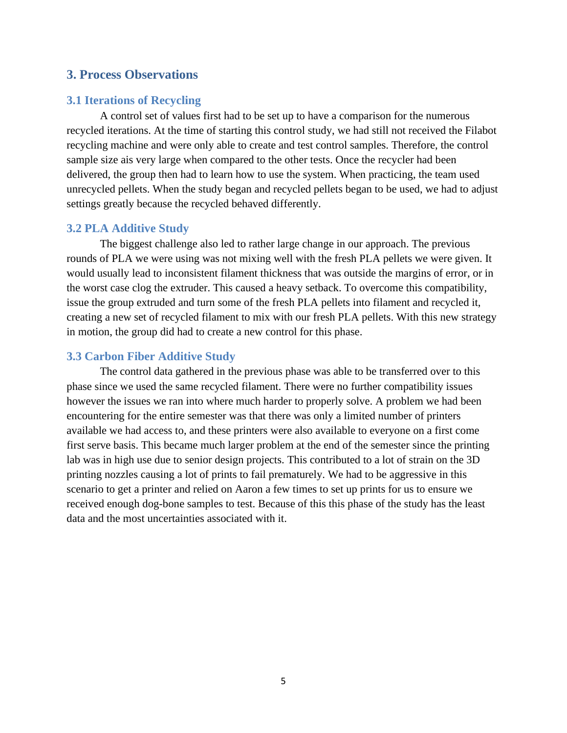#### <span id="page-9-0"></span>**3. Process Observations**

#### <span id="page-9-1"></span>**3.1 Iterations of Recycling**

A control set of values first had to be set up to have a comparison for the numerous recycled iterations. At the time of starting this control study, we had still not received the Filabot recycling machine and were only able to create and test control samples. Therefore, the control sample size ais very large when compared to the other tests. Once the recycler had been delivered, the group then had to learn how to use the system. When practicing, the team used unrecycled pellets. When the study began and recycled pellets began to be used, we had to adjust settings greatly because the recycled behaved differently.

#### <span id="page-9-2"></span>**3.2 PLA Additive Study**

The biggest challenge also led to rather large change in our approach. The previous rounds of PLA we were using was not mixing well with the fresh PLA pellets we were given. It would usually lead to inconsistent filament thickness that was outside the margins of error, or in the worst case clog the extruder. This caused a heavy setback. To overcome this compatibility, issue the group extruded and turn some of the fresh PLA pellets into filament and recycled it, creating a new set of recycled filament to mix with our fresh PLA pellets. With this new strategy in motion, the group did had to create a new control for this phase.

#### <span id="page-9-3"></span>**3.3 Carbon Fiber Additive Study**

The control data gathered in the previous phase was able to be transferred over to this phase since we used the same recycled filament. There were no further compatibility issues however the issues we ran into where much harder to properly solve. A problem we had been encountering for the entire semester was that there was only a limited number of printers available we had access to, and these printers were also available to everyone on a first come first serve basis. This became much larger problem at the end of the semester since the printing lab was in high use due to senior design projects. This contributed to a lot of strain on the 3D printing nozzles causing a lot of prints to fail prematurely. We had to be aggressive in this scenario to get a printer and relied on Aaron a few times to set up prints for us to ensure we received enough dog-bone samples to test. Because of this this phase of the study has the least data and the most uncertainties associated with it.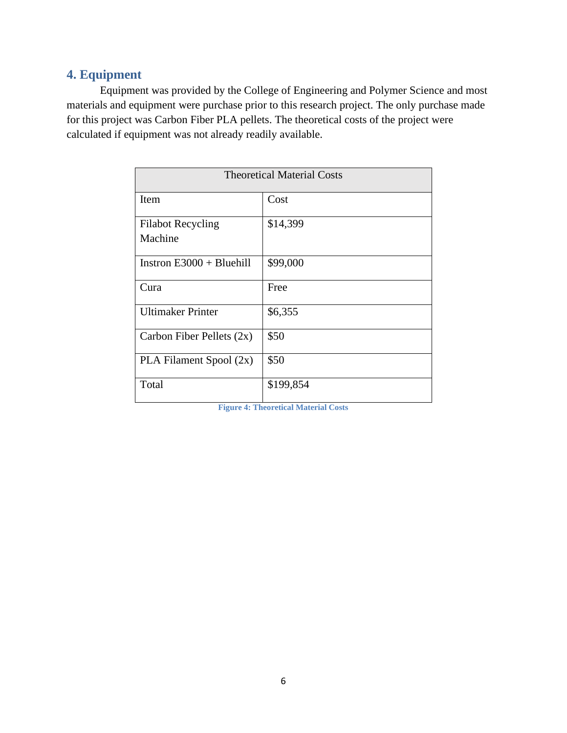# <span id="page-10-0"></span>**4. Equipment**

Equipment was provided by the College of Engineering and Polymer Science and most materials and equipment were purchase prior to this research project. The only purchase made for this project was Carbon Fiber PLA pellets. The theoretical costs of the project were calculated if equipment was not already readily available.

| <b>Theoretical Material Costs</b>   |           |  |
|-------------------------------------|-----------|--|
| Item                                | Cost      |  |
| <b>Filabot Recycling</b><br>Machine | \$14,399  |  |
| Instron $E3000 + B$ luehill         | \$99,000  |  |
| Cura                                | Free      |  |
| <b>Ultimaker Printer</b>            | \$6,355   |  |
| Carbon Fiber Pellets $(2x)$         | \$50      |  |
| PLA Filament Spool (2x)             | \$50      |  |
| Total                               | \$199,854 |  |

**Figure 4: Theoretical Material Costs**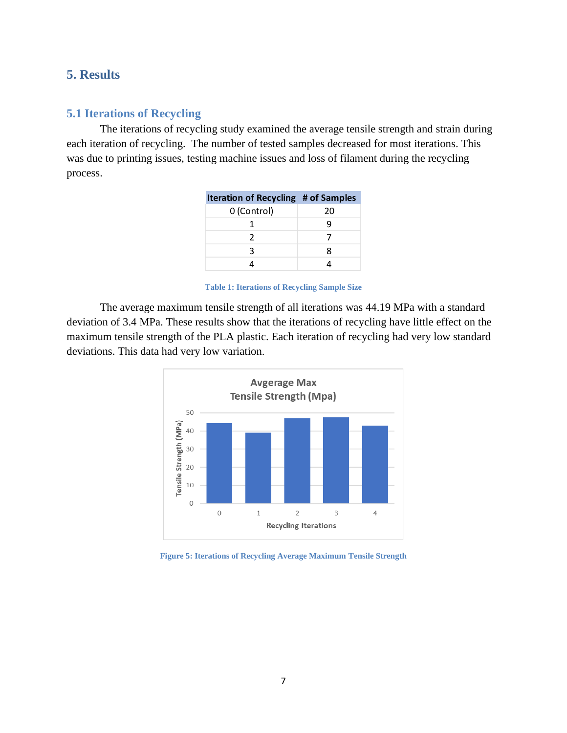# <span id="page-11-0"></span>**5. Results**

# <span id="page-11-1"></span>**5.1 Iterations of Recycling**

The iterations of recycling study examined the average tensile strength and strain during each iteration of recycling. The number of tested samples decreased for most iterations. This was due to printing issues, testing machine issues and loss of filament during the recycling process.

| iteration of Recycling # of Samples |
|-------------------------------------|
| 20                                  |
| q                                   |
|                                     |
| g                                   |
|                                     |
|                                     |

| <b>Iteration of Recycling # of Samples</b> |  |  |
|--------------------------------------------|--|--|
|                                            |  |  |

**Table 1: Iterations of Recycling Sample Size**

The average maximum tensile strength of all iterations was 44.19 MPa with a standard deviation of 3.4 MPa. These results show that the iterations of recycling have little effect on the maximum tensile strength of the PLA plastic. Each iteration of recycling had very low standard deviations. This data had very low variation.



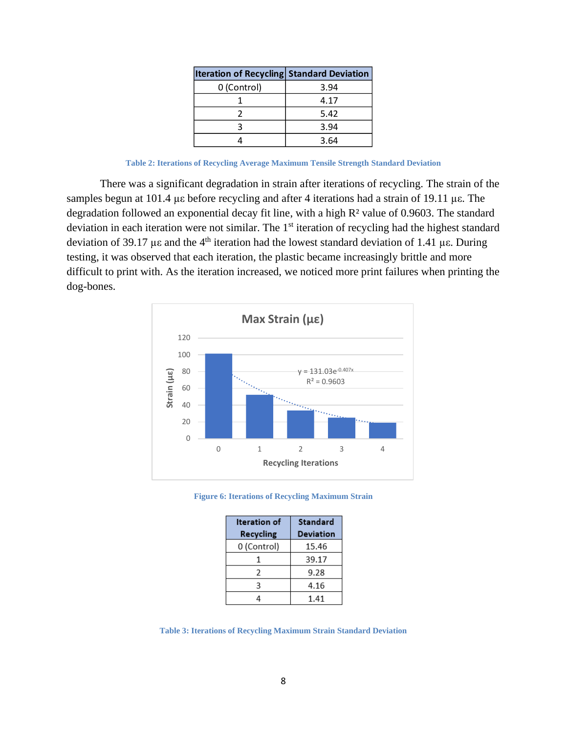| <b>Iteration of Recycling Standard Deviation</b> |      |
|--------------------------------------------------|------|
| 0 (Control)                                      | 3.94 |
|                                                  | 4.17 |
|                                                  | 5.42 |
|                                                  | 3.94 |
|                                                  | 3.64 |

**Table 2: Iterations of Recycling Average Maximum Tensile Strength Standard Deviation** 

There was a significant degradation in strain after iterations of recycling. The strain of the samples begun at 101.4 µε before recycling and after 4 iterations had a strain of 19.11 µε. The degradation followed an exponential decay fit line, with a high R<sup>2</sup> value of 0.9603. The standard deviation in each iteration were not similar. The 1<sup>st</sup> iteration of recycling had the highest standard deviation of 39.17 µε and the 4th iteration had the lowest standard deviation of 1.41 µε. During testing, it was observed that each iteration, the plastic became increasingly brittle and more difficult to print with. As the iteration increased, we noticed more print failures when printing the dog-bones.



**Figure 6: Iterations of Recycling Maximum Strain**

| Iteration of | Standard         |
|--------------|------------------|
| Recycling    | <b>Deviation</b> |
| 0 (Control)  | 15.46            |
|              | 39.17            |
| 2            | 9.28             |
| ς            | 4.16             |
|              | 1.41             |

**Table 3: Iterations of Recycling Maximum Strain Standard Deviation**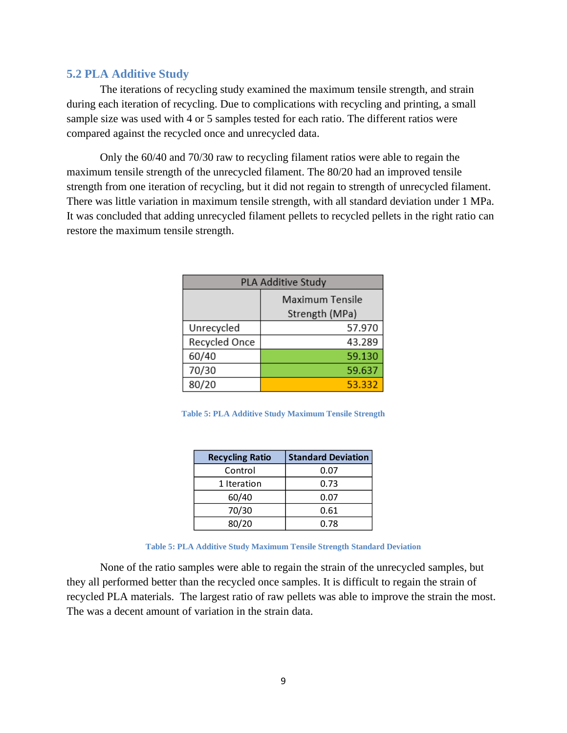#### <span id="page-13-0"></span>**5.2 PLA Additive Study**

The iterations of recycling study examined the maximum tensile strength, and strain during each iteration of recycling. Due to complications with recycling and printing, a small sample size was used with 4 or 5 samples tested for each ratio. The different ratios were compared against the recycled once and unrecycled data.

Only the 60/40 and 70/30 raw to recycling filament ratios were able to regain the maximum tensile strength of the unrecycled filament. The 80/20 had an improved tensile strength from one iteration of recycling, but it did not regain to strength of unrecycled filament. There was little variation in maximum tensile strength, with all standard deviation under 1 MPa. It was concluded that adding unrecycled filament pellets to recycled pellets in the right ratio can restore the maximum tensile strength.

| PLA Additive Study |                                          |
|--------------------|------------------------------------------|
|                    | <b>Maximum Tensile</b><br>Strength (MPa) |
| Unrecycled         | 57.970                                   |
| Recycled Once      | 43.289                                   |
| 60/40              | 59.130                                   |
| 70/30              | 59.637                                   |
| 80/20              | 53.332                                   |

**Table 5: PLA Additive Study Maximum Tensile Strength**

| <b>Recycling Ratio</b> | <b>Standard Deviation</b> |
|------------------------|---------------------------|
| Control                | 0.07                      |
| 1 Iteration            | 0.73                      |
| 60/40                  | 0.07                      |
| 70/30                  | 0.61                      |
| 80/20                  | 0.78                      |

**Table 5: PLA Additive Study Maximum Tensile Strength Standard Deviation**

None of the ratio samples were able to regain the strain of the unrecycled samples, but they all performed better than the recycled once samples. It is difficult to regain the strain of recycled PLA materials. The largest ratio of raw pellets was able to improve the strain the most. The was a decent amount of variation in the strain data.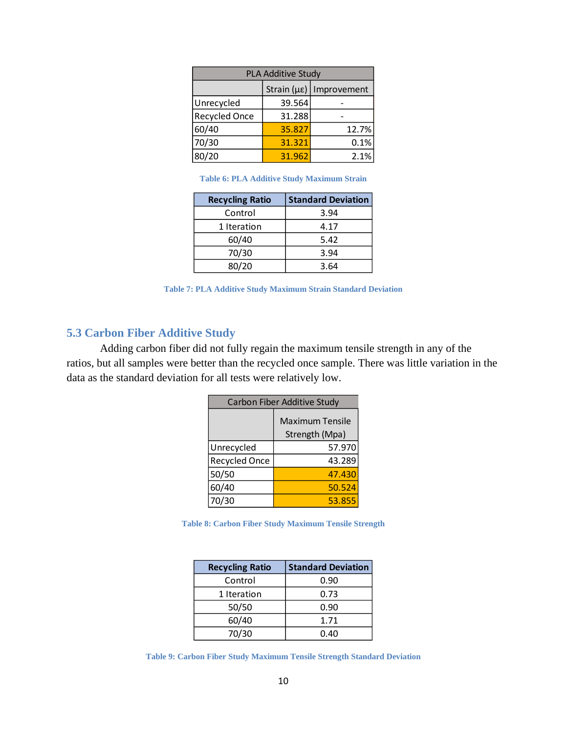| <b>PLA Additive Study</b>                |        |       |
|------------------------------------------|--------|-------|
| Strain ( $\mu \varepsilon$ ) Improvement |        |       |
| Unrecycled                               | 39.564 |       |
| <b>Recycled Once</b>                     | 31.288 |       |
| 60/40                                    | 35.827 | 12.7% |
| 70/30                                    | 31.321 | 0.1%  |
| 80/20                                    | 31.962 | 2.1%  |

**Table 6: PLA Additive Study Maximum Strain**

| <b>Recycling Ratio</b> | <b>Standard Deviation</b> |
|------------------------|---------------------------|
| Control                | 3.94                      |
| 1 Iteration            | 4.17                      |
| 60/40                  | 5.42                      |
| 70/30                  | 3.94                      |
| 80/20                  | 3.64                      |

**Table 7: PLA Additive Study Maximum Strain Standard Deviation**

# <span id="page-14-0"></span>**5.3 Carbon Fiber Additive Study**

Adding carbon fiber did not fully regain the maximum tensile strength in any of the ratios, but all samples were better than the recycled once sample. There was little variation in the data as the standard deviation for all tests were relatively low.

| Carbon Fiber Additive Study |                        |
|-----------------------------|------------------------|
|                             | <b>Maximum Tensile</b> |
|                             | Strength (Mpa)         |
| Unrecycled                  | 57.970                 |
| Recycled Once               | 43.289                 |
| 50/50                       | 47.430                 |
| 60/40                       | 50.524                 |
| 70/30                       | 53.855                 |

**Table 8: Carbon Fiber Study Maximum Tensile Strength**

| <b>Recycling Ratio</b> | <b>Standard Deviation</b> |
|------------------------|---------------------------|
| Control                | 0.90                      |
| 1 Iteration            | 0.73                      |
| 50/50                  | 0.90                      |
| 60/40                  | 1.71                      |
| 70/30                  | 0.40                      |

**Table 9: Carbon Fiber Study Maximum Tensile Strength Standard Deviation**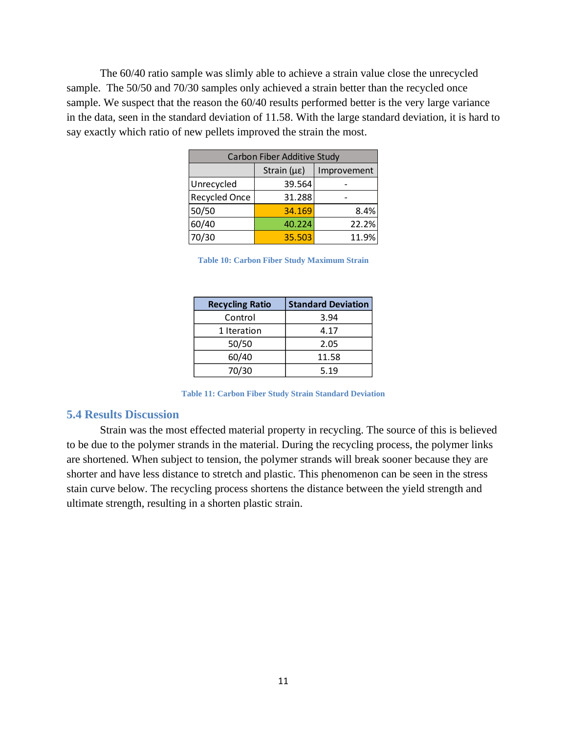The 60/40 ratio sample was slimly able to achieve a strain value close the unrecycled sample. The 50/50 and 70/30 samples only achieved a strain better than the recycled once sample. We suspect that the reason the 60/40 results performed better is the very large variance in the data, seen in the standard deviation of 11.58. With the large standard deviation, it is hard to say exactly which ratio of new pellets improved the strain the most.

| Carbon Fiber Additive Study |                            |             |  |  |
|-----------------------------|----------------------------|-------------|--|--|
|                             | Strain $(\mu \varepsilon)$ | Improvement |  |  |
| Unrecycled                  | 39.564                     |             |  |  |
| Recycled Once               | 31.288                     |             |  |  |
| 50/50                       | 34.169                     | 8.4%        |  |  |
| 60/40                       | 40.224                     | 22.2%       |  |  |
| 70/30                       | 35.503                     | 11.9%       |  |  |

**Table 10: Carbon Fiber Study Maximum Strain**

| <b>Recycling Ratio</b> | <b>Standard Deviation</b> |
|------------------------|---------------------------|
| Control                | 3.94                      |
| 1 Iteration            | 4.17                      |
| 50/50                  | 2.05                      |
| 60/40                  | 11.58                     |
| 70/30                  | 5.19                      |

**Table 11: Carbon Fiber Study Strain Standard Deviation**

#### <span id="page-15-0"></span>**5.4 Results Discussion**

Strain was the most effected material property in recycling. The source of this is believed to be due to the polymer strands in the material. During the recycling process, the polymer links are shortened. When subject to tension, the polymer strands will break sooner because they are shorter and have less distance to stretch and plastic. This phenomenon can be seen in the stress stain curve below. The recycling process shortens the distance between the yield strength and ultimate strength, resulting in a shorten plastic strain.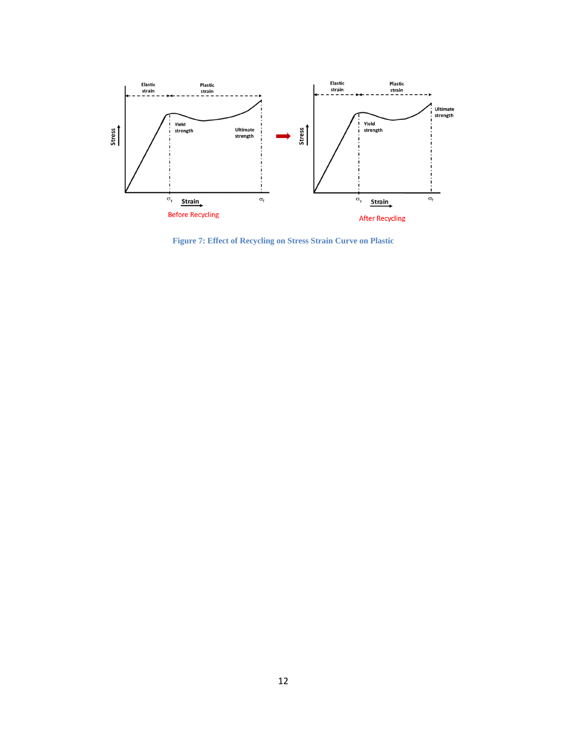

**Figure 7: Effect of Recycling on Stress Strain Curve on Plastic**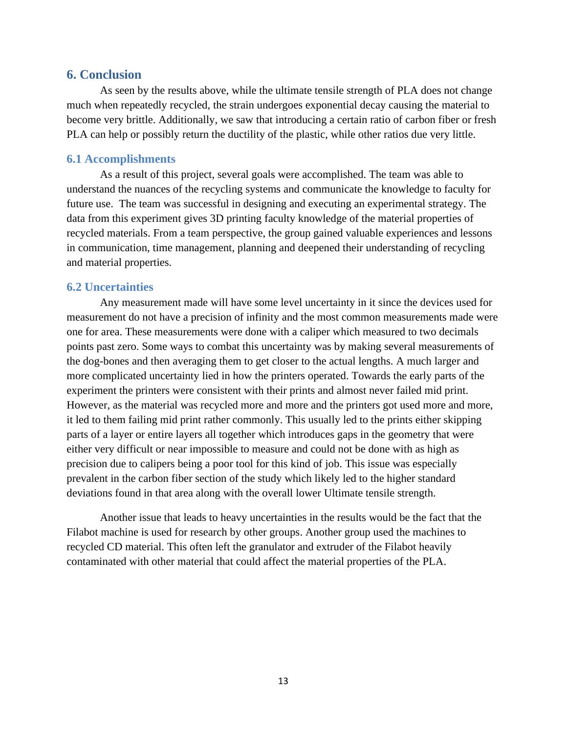#### <span id="page-17-0"></span>**6. Conclusion**

As seen by the results above, while the ultimate tensile strength of PLA does not change much when repeatedly recycled, the strain undergoes exponential decay causing the material to become very brittle. Additionally, we saw that introducing a certain ratio of carbon fiber or fresh PLA can help or possibly return the ductility of the plastic, while other ratios due very little.

#### <span id="page-17-1"></span>**6.1 Accomplishments**

As a result of this project, several goals were accomplished. The team was able to understand the nuances of the recycling systems and communicate the knowledge to faculty for future use. The team was successful in designing and executing an experimental strategy. The data from this experiment gives 3D printing faculty knowledge of the material properties of recycled materials. From a team perspective, the group gained valuable experiences and lessons in communication, time management, planning and deepened their understanding of recycling and material properties.

#### <span id="page-17-2"></span>**6.2 Uncertainties**

Any measurement made will have some level uncertainty in it since the devices used for measurement do not have a precision of infinity and the most common measurements made were one for area. These measurements were done with a caliper which measured to two decimals points past zero. Some ways to combat this uncertainty was by making several measurements of the dog-bones and then averaging them to get closer to the actual lengths. A much larger and more complicated uncertainty lied in how the printers operated. Towards the early parts of the experiment the printers were consistent with their prints and almost never failed mid print. However, as the material was recycled more and more and the printers got used more and more, it led to them failing mid print rather commonly. This usually led to the prints either skipping parts of a layer or entire layers all together which introduces gaps in the geometry that were either very difficult or near impossible to measure and could not be done with as high as precision due to calipers being a poor tool for this kind of job. This issue was especially prevalent in the carbon fiber section of the study which likely led to the higher standard deviations found in that area along with the overall lower Ultimate tensile strength.

Another issue that leads to heavy uncertainties in the results would be the fact that the Filabot machine is used for research by other groups. Another group used the machines to recycled CD material. This often left the granulator and extruder of the Filabot heavily contaminated with other material that could affect the material properties of the PLA.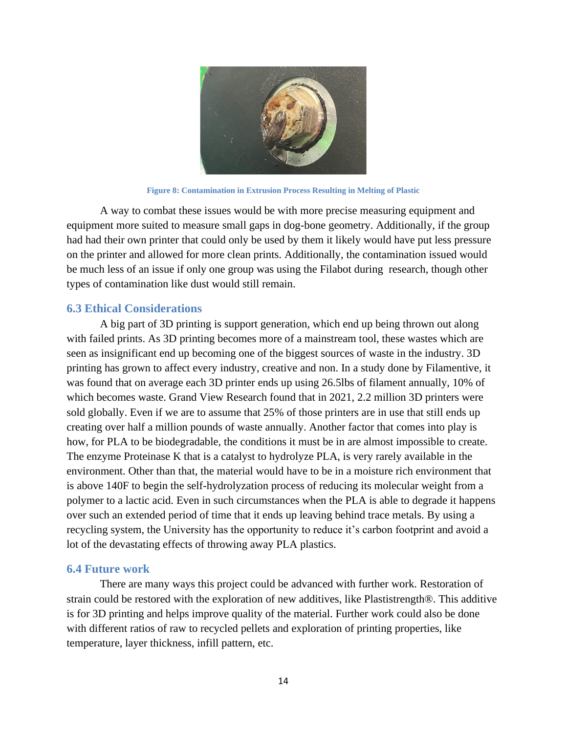

**Figure 8: Contamination in Extrusion Process Resulting in Melting of Plastic**

A way to combat these issues would be with more precise measuring equipment and equipment more suited to measure small gaps in dog-bone geometry. Additionally, if the group had had their own printer that could only be used by them it likely would have put less pressure on the printer and allowed for more clean prints. Additionally, the contamination issued would be much less of an issue if only one group was using the Filabot during research, though other types of contamination like dust would still remain.

## <span id="page-18-0"></span>**6.3 Ethical Considerations**

A big part of 3D printing is support generation, which end up being thrown out along with failed prints. As 3D printing becomes more of a mainstream tool, these wastes which are seen as insignificant end up becoming one of the biggest sources of waste in the industry. 3D printing has grown to affect every industry, creative and non. In a study done by Filamentive, it was found that on average each 3D printer ends up using 26.5lbs of filament annually, 10% of which becomes waste. Grand View Research found that in 2021, 2.2 million 3D printers were sold globally. Even if we are to assume that 25% of those printers are in use that still ends up creating over half a million pounds of waste annually. Another factor that comes into play is how, for PLA to be biodegradable, the conditions it must be in are almost impossible to create. The enzyme Proteinase K that is a catalyst to hydrolyze PLA, is very rarely available in the environment. Other than that, the material would have to be in a moisture rich environment that is above 140F to begin the self-hydrolyzation process of reducing its molecular weight from a polymer to a lactic acid. Even in such circumstances when the PLA is able to degrade it happens over such an extended period of time that it ends up leaving behind trace metals. By using a recycling system, the University has the opportunity to reduce it's carbon footprint and avoid a lot of the devastating effects of throwing away PLA plastics.

#### <span id="page-18-1"></span>**6.4 Future work**

There are many ways this project could be advanced with further work. Restoration of strain could be restored with the exploration of new additives, like Plastistrength®. This additive is for 3D printing and helps improve quality of the material. Further work could also be done with different ratios of raw to recycled pellets and exploration of printing properties, like temperature, layer thickness, infill pattern, etc.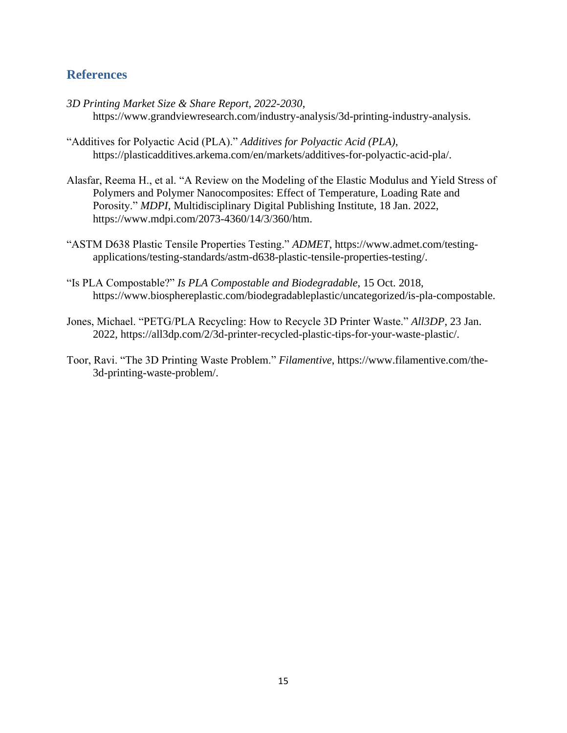# <span id="page-19-0"></span>**References**

- *3D Printing Market Size & Share Report, 2022-2030*, https://www.grandviewresearch.com/industry-analysis/3d-printing-industry-analysis.
- "Additives for Polyactic Acid (PLA)." *Additives for Polyactic Acid (PLA)*, https://plasticadditives.arkema.com/en/markets/additives-for-polyactic-acid-pla/.
- Alasfar, Reema H., et al. "A Review on the Modeling of the Elastic Modulus and Yield Stress of Polymers and Polymer Nanocomposites: Effect of Temperature, Loading Rate and Porosity." *MDPI*, Multidisciplinary Digital Publishing Institute, 18 Jan. 2022, https://www.mdpi.com/2073-4360/14/3/360/htm.
- "ASTM D638 Plastic Tensile Properties Testing." *ADMET*, https://www.admet.com/testingapplications/testing-standards/astm-d638-plastic-tensile-properties-testing/.
- "Is PLA Compostable?" *Is PLA Compostable and Biodegradable*, 15 Oct. 2018, https://www.biosphereplastic.com/biodegradableplastic/uncategorized/is-pla-compostable.
- Jones, Michael. "PETG/PLA Recycling: How to Recycle 3D Printer Waste." *All3DP*, 23 Jan. 2022, https://all3dp.com/2/3d-printer-recycled-plastic-tips-for-your-waste-plastic/.
- Toor, Ravi. "The 3D Printing Waste Problem." *Filamentive*, https://www.filamentive.com/the-3d-printing-waste-problem/.